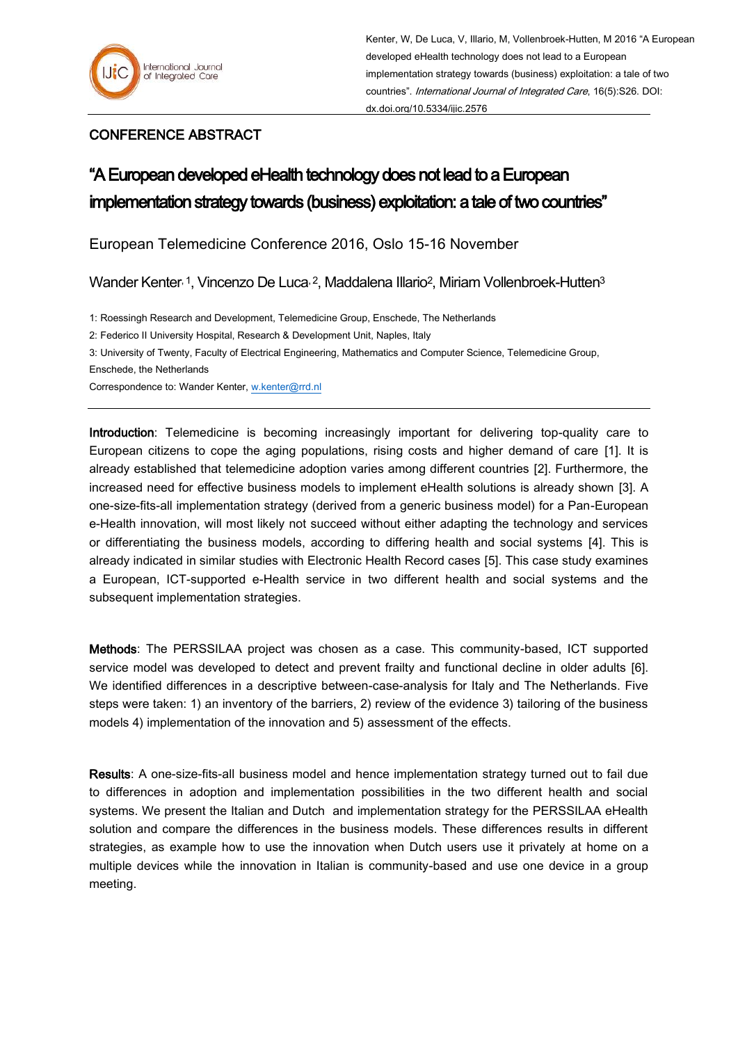## CONFERENCE ABSTRACT

## "A European developed eHealth technology does not lead to a European implementation strategy towards (business) exploitation: a tale of two countries"

European Telemedicine Conference 2016, Oslo 15-16 November

Wander Kenter, 1, Vincenzo De Luca, 2, Maddalena Illario<sup>2</sup>, Miriam Vollenbroek-Hutten<sup>3</sup>

1: Roessingh Research and Development, Telemedicine Group, Enschede, The Netherlands

2: Federico II University Hospital, Research & Development Unit, Naples, Italy

3: University of Twenty, Faculty of Electrical Engineering, Mathematics and Computer Science, Telemedicine Group,

Enschede, the Netherlands

Correspondence to: Wander Kenter[, w.kenter@rrd.nl](mailto:w.kenter@rrd.nl)

Introduction: Telemedicine is becoming increasingly important for delivering top-quality care to European citizens to cope the aging populations, rising costs and higher demand of care [1]. It is already established that telemedicine adoption varies among different countries [2]. Furthermore, the increased need for effective business models to implement eHealth solutions is already shown [3]. A one-size-fits-all implementation strategy (derived from a generic business model) for a Pan-European e-Health innovation, will most likely not succeed without either adapting the technology and services or differentiating the business models, according to differing health and social systems [4]. This is already indicated in similar studies with Electronic Health Record cases [5]. This case study examines a European, ICT-supported e-Health service in two different health and social systems and the subsequent implementation strategies.

Methods: The PERSSILAA project was chosen as a case. This community-based, ICT supported service model was developed to detect and prevent frailty and functional decline in older adults [6]. We identified differences in a descriptive between-case-analysis for Italy and The Netherlands. Five steps were taken: 1) an inventory of the barriers, 2) review of the evidence 3) tailoring of the business models 4) implementation of the innovation and 5) assessment of the effects.

Results: A one-size-fits-all business model and hence implementation strategy turned out to fail due to differences in adoption and implementation possibilities in the two different health and social systems. We present the Italian and Dutch and implementation strategy for the PERSSILAA eHealth solution and compare the differences in the business models. These differences results in different strategies, as example how to use the innovation when Dutch users use it privately at home on a multiple devices while the innovation in Italian is community-based and use one device in a group meeting.